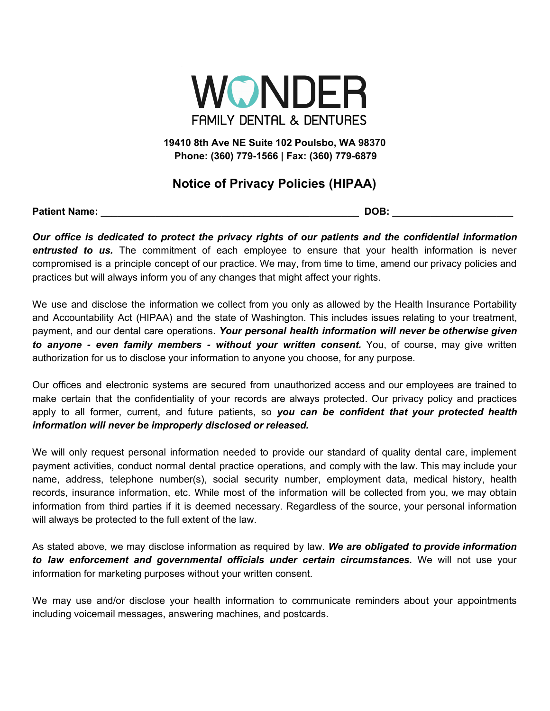

**19410 8th Ave NE Suite 102 Poulsbo, WA 98370 Phone: (360) 779-1566 | Fax: (360) 779-6879**

## **Notice of Privacy Policies (HIPAA)**

**Patient Name:** \_\_\_\_\_\_\_\_\_\_\_\_\_\_\_\_\_\_\_\_\_\_\_\_\_\_\_\_\_\_\_\_\_\_\_\_\_\_\_\_\_\_\_\_\_\_\_ **DOB:** \_\_\_\_\_\_\_\_\_\_\_\_\_\_\_\_\_\_\_\_\_\_

*Our office is dedicated to protect the privacy rights of our patients and the confidential information entrusted to us.* The commitment of each employee to ensure that your health information is never compromised is a principle concept of our practice. We may, from time to time, amend our privacy policies and practices but will always inform you of any changes that might affect your rights.

We use and disclose the information we collect from you only as allowed by the Health Insurance Portability and Accountability Act (HIPAA) and the state of Washington. This includes issues relating to your treatment, payment, and our dental care operations. *Your personal health information will never be otherwise given to anyone - even family members - without your written consent.* You, of course, may give written authorization for us to disclose your information to anyone you choose, for any purpose.

Our offices and electronic systems are secured from unauthorized access and our employees are trained to make certain that the confidentiality of your records are always protected. Our privacy policy and practices apply to all former, current, and future patients, so *you can be confident that your protected health information will never be improperly disclosed or released.*

We will only request personal information needed to provide our standard of quality dental care, implement payment activities, conduct normal dental practice operations, and comply with the law. This may include your name, address, telephone number(s), social security number, employment data, medical history, health records, insurance information, etc. While most of the information will be collected from you, we may obtain information from third parties if it is deemed necessary. Regardless of the source, your personal information will always be protected to the full extent of the law.

As stated above, we may disclose information as required by law. *We are obligated to provide information to law enforcement and governmental officials under certain circumstances.* We will not use your information for marketing purposes without your written consent.

We may use and/or disclose your health information to communicate reminders about your appointments including voicemail messages, answering machines, and postcards.